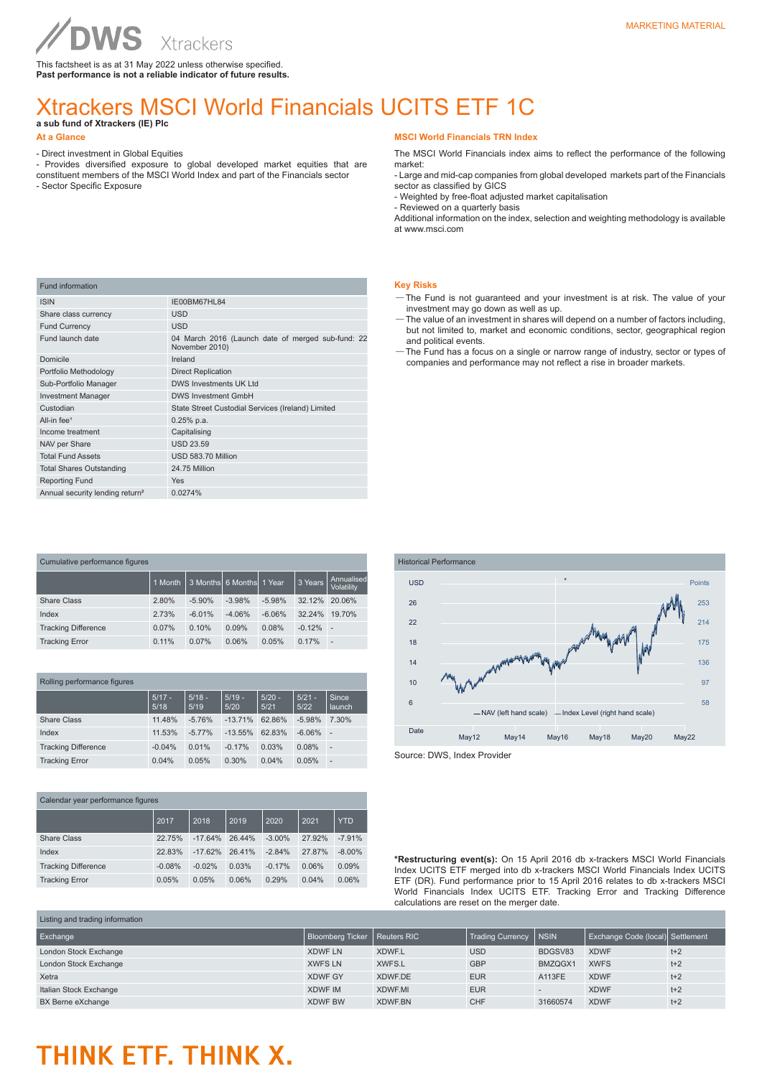This factsheet is as at 31 May 2022 unless otherwise specified. **Past performance is not a reliable indicator of future results.**

### Xtrackers MSCI World Financials UCITS ETF 1C

**a sub fund of Xtrackers (IE) Plc** 

**WS** 

#### **At a Glance**

Fund information

- Direct investment in Global Equities

ISIN IE00BM67HL84 Share class currency USD Fund Currency USD

- Provides diversified exposure to global developed market equities that are constituent members of the MSCI World Index and part of the Financials sector
- Sector Specific Exposure

#### **MSCI World Financials TRN Index**

The MSCI World Financials index aims to reflect the performance of the following market:

- Large and mid-cap companies from global developed markets part of the Financials sector as classified by GICS

- Weighted by free-float adjusted market capitalisation

- Reviewed on a quarterly basis

Additional information on the index, selection and weighting methodology is available at www.msci.com

#### **Key Risks**

- —The Fund is not guaranteed and your investment is at risk. The value of your investment may go down as well as up.
- —The value of an investment in shares will depend on a number of factors including, but not limited to, market and economic conditions, sector, geographical region and political events.
- —The Fund has a focus on a single or narrow range of industry, sector or types of companies and performance may not reflect a rise in broader markets.

| Domicile                                    | Ireland                                           |
|---------------------------------------------|---------------------------------------------------|
| Portfolio Methodology                       | <b>Direct Replication</b>                         |
| Sub-Portfolio Manager                       | DWS Investments UK Ltd                            |
| <b>Investment Manager</b>                   | <b>DWS Investment GmbH</b>                        |
| Custodian                                   | State Street Custodial Services (Ireland) Limited |
| All-in fee <sup>1</sup>                     | $0.25%$ p.a.                                      |
| Income treatment                            | Capitalising                                      |
| NAV per Share                               | <b>USD 23.59</b>                                  |
| <b>Total Fund Assets</b>                    | USD 583.70 Million                                |
| <b>Total Shares Outstanding</b>             | 24.75 Million                                     |
| <b>Reporting Fund</b>                       | Yes                                               |
| Annual security lending return <sup>2</sup> | 0.0274%                                           |
|                                             |                                                   |
|                                             |                                                   |
|                                             |                                                   |
|                                             |                                                   |

Fund launch date **04 March 2016** (Launch date of merged sub-fund: 22 November 2010)

| Cumulative performance figures |         |          |                            |          |          |                          |  |
|--------------------------------|---------|----------|----------------------------|----------|----------|--------------------------|--|
|                                | 1 Month |          | 3 Months  6 Months  1 Year |          | 3 Years  | Annualised<br>Volatility |  |
| Share Class                    | 2.80%   | $-5.90%$ | $-3.98%$                   | $-5.98%$ | 32.12%   | 20.06%                   |  |
| Index                          | 2.73%   | $-6.01%$ | $-4.06%$                   | $-6.06%$ | 32.24%   | 19.70%                   |  |
| <b>Tracking Difference</b>     | 0.07%   | 0.10%    | 0.09%                      | 0.08%    | $-0.12%$ | х.                       |  |
| <b>Tracking Error</b>          | 0.11%   | 0.07%    | 0.06%                      | 0.05%    | 0.17%    | ÷                        |  |

| Rolling performance figures |  |  |  |
|-----------------------------|--|--|--|
|-----------------------------|--|--|--|

|                            | $5/17 -$<br>5/18 | $5/18 -$<br>5/19 | $5/19 -$<br>5/20 | $5/20 -$<br>5/21 | $5/21 -$<br>5/22 | Since<br>launch |
|----------------------------|------------------|------------------|------------------|------------------|------------------|-----------------|
| <b>Share Class</b>         | 11.48%           | $-5.76%$         | $-13.71%$        | 62.86%           | $-5.98%$         | 7.30%           |
| Index                      | 11.53%           | $-5.77%$         | $-13.55\%$       | 62.83%           | $-6.06%$         | ٠               |
| <b>Tracking Difference</b> | $-0.04%$         | 0.01%            | $-0.17%$         | 0.03%            | 0.08%            | ٠               |
| <b>Tracking Error</b>      | 0.04%            | 0.05%            | 0.30%            | 0.04%            | 0.05%            | -               |

| Calendar year performance figures |          |           |        |           |        |            |  |
|-----------------------------------|----------|-----------|--------|-----------|--------|------------|--|
|                                   | 2017     | 2018      | 2019   | 2020      | 2021   | <b>YTD</b> |  |
| Share Class                       | 22.75%   | $-17.64%$ | 26.44% | $-3.00\%$ | 27.92% | $-7.91%$   |  |
| Index                             | 22.83%   | $-17.62%$ | 26.41% | $-2.84%$  | 27.87% | $-8.00\%$  |  |
| <b>Tracking Difference</b>        | $-0.08%$ | $-0.02%$  | 0.03%  | $-0.17%$  | 0.06%  | 0.09%      |  |
| <b>Tracking Error</b>             | 0.05%    | 0.05%     | 0.06%  | 0.29%     | 0.04%  | 0.06%      |  |



**\*Restructuring event(s):** On 15 April 2016 db x-trackers MSCI World Financials Index UCITS ETF merged into db x-trackers MSCI World Financials Index UCITS ETF (DR). Fund performance prior to 15 April 2016 relates to db x-trackers MSCI World Financials Index UCITS ETF. Tracking Error and Tracking Difference calculations are reset on the merger date.

| Listing and trading information |                                |               |                         |              |                                  |       |  |
|---------------------------------|--------------------------------|---------------|-------------------------|--------------|----------------------------------|-------|--|
| Exchange                        | Bloomberg Ticker   Reuters RIC |               | <b>Trading Currency</b> | <b>INSIN</b> | Exchange Code (local) Settlement |       |  |
| London Stock Exchange           | <b>XDWF LN</b>                 | <b>XDWF.L</b> | <b>USD</b>              | BDGSV83      | <b>XDWF</b>                      | $t+2$ |  |
| London Stock Exchange           | <b>XWFS LN</b>                 | XWFS.L        | <b>GBP</b>              | BMZQGX1      | <b>XWFS</b>                      | $t+2$ |  |
| Xetra                           | <b>XDWF GY</b>                 | XDWF.DE       | <b>EUR</b>              | A113FE       | <b>XDWF</b>                      | $t+2$ |  |
| Italian Stock Exchange          | <b>XDWF IM</b>                 | XDWF.MI       | <b>EUR</b>              |              | <b>XDWF</b>                      | $t+2$ |  |
| BX Berne eXchange               | <b>XDWF BW</b>                 | XDWF.BN       | <b>CHF</b>              | 31660574     | <b>XDWF</b>                      | $t+2$ |  |

## THINK ETF. THINK X.